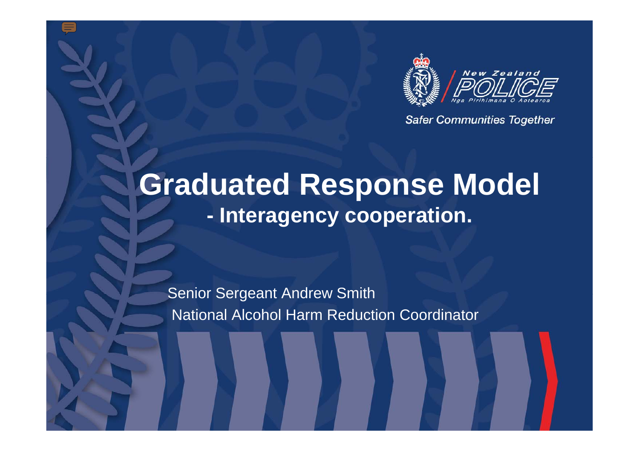

**Safer Communities Together** 

#### **Graduated Response Model - Interagency cooperation.**

Senior Sergeant Andrew Smith National Alcohol Harm Reduction Coordinator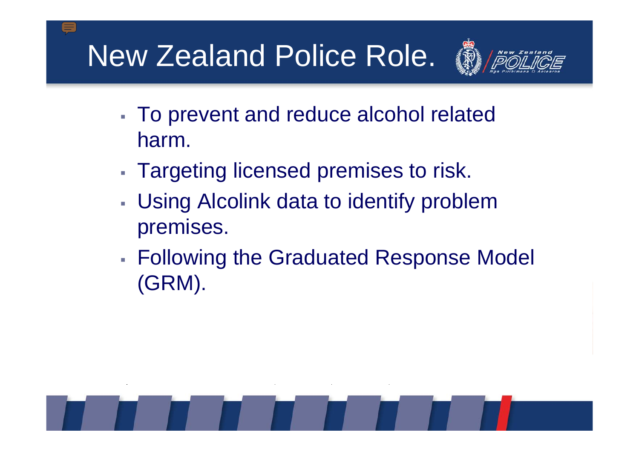## New Zealand Police Role.



- To prevent and reduce alcohol related harm.
- Targeting licensed premises to risk.
- Using Alcolink data to identify problem premises.
- Following the Graduated Response Model (GRM).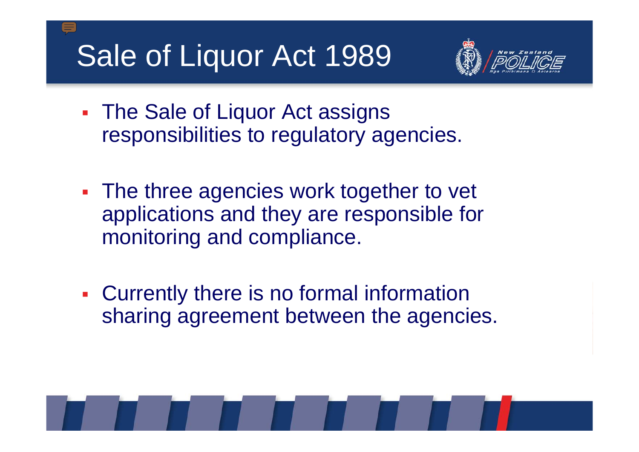## Sale of Liquor Act 1989



- T. The Sale of Liquor Act assigns responsibilities to regulatory agencies.
- T. The three agencies work together to vet applications and they are responsible for monitoring and compliance.
- Currently there is no formal information sharing agreement between the agencies.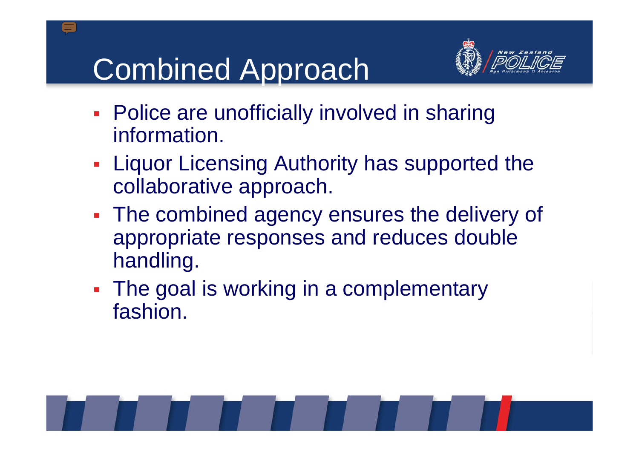# Combined Approach



- T. **Police are unofficially involved in sharing** information.
- T. **Example 2 Eiguor Licensing Authority has supported the** collaborative approach.
- **The combined agency ensures the delivery of** appropriate responses and reduces double handling.
- The goal is working in a complementary fashion.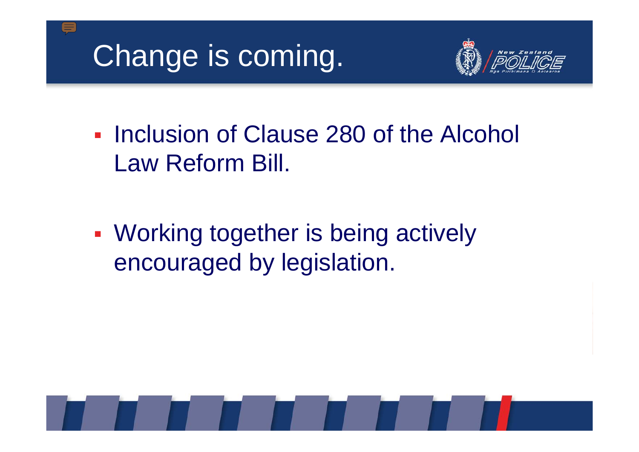## Change is coming.



**Inclusion of Clause 280 of the Alcohol** Law Reform Bill.

**- Working together is being actively** encouraged by legislation.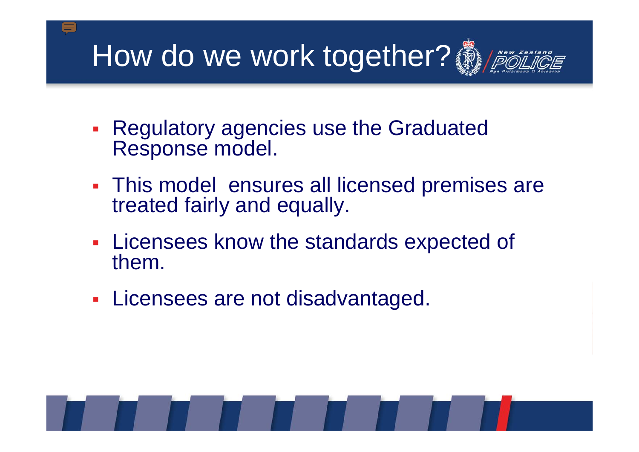How do we work together?



- T. **Regulatory agencies use the Graduated •** Response model.
- This model ensures all licensed premises are treated fairly and equally.
- **Example 2 Figure 1 Section 2 Figure 2 Figure 2 Figure 2 Figure 2 Figure 2 Figure 2 Figure 2 Figure 2 Figure 2 Figure 2 Figure 2 Figure 2 Figure 2 Figure 2 Figure 2 Figure 2 Figure 2 Figure 2 Figure 2 Figure 2 Figure 2 Fig** them.
- T. **- Licensees are not disadvantaged.**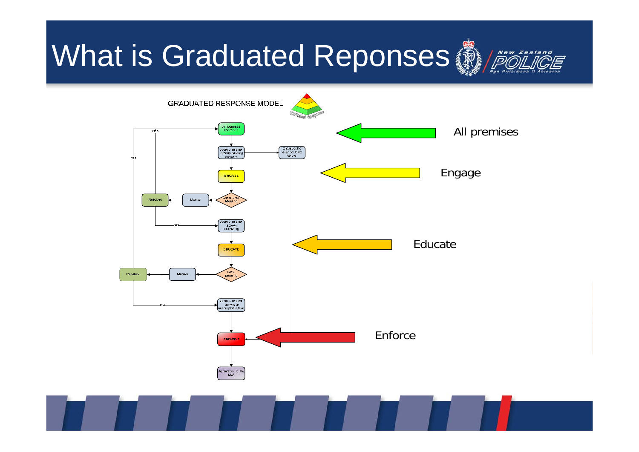## What is Graduated Reponses



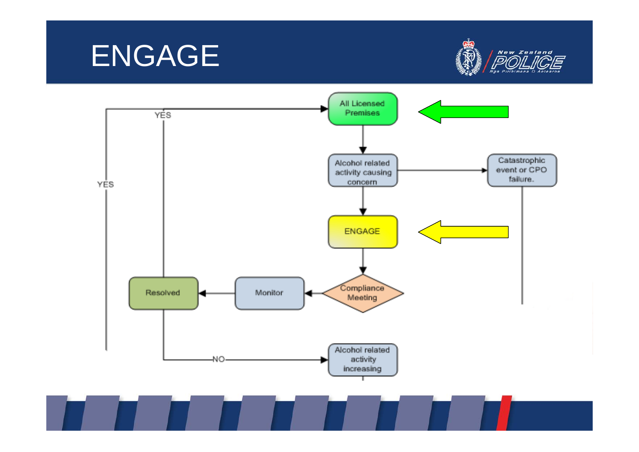



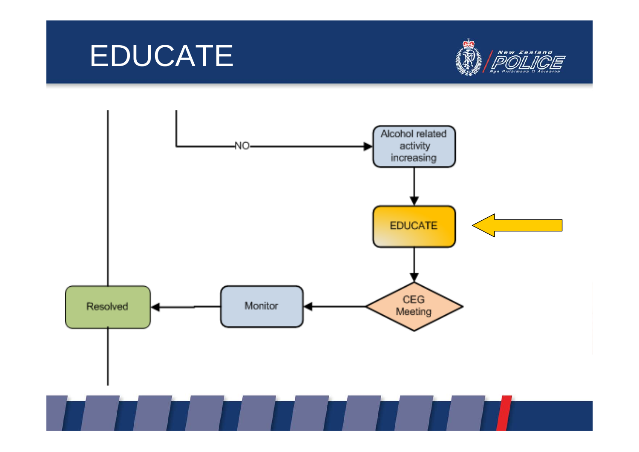#### EDUCATE



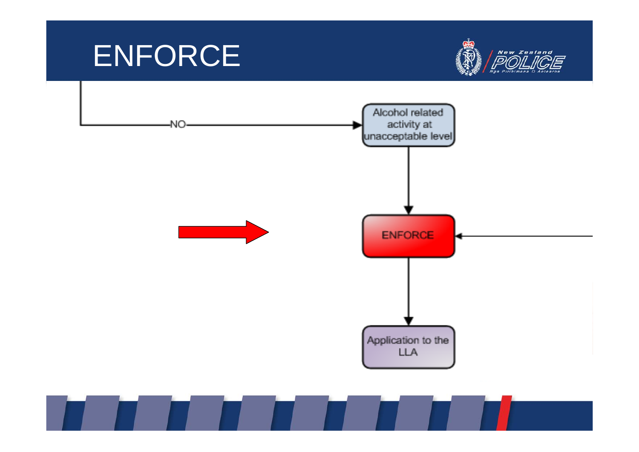#### ENFORCE



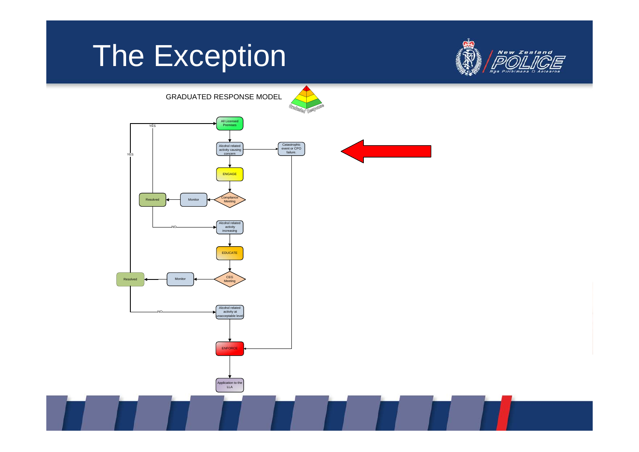#### The Exception